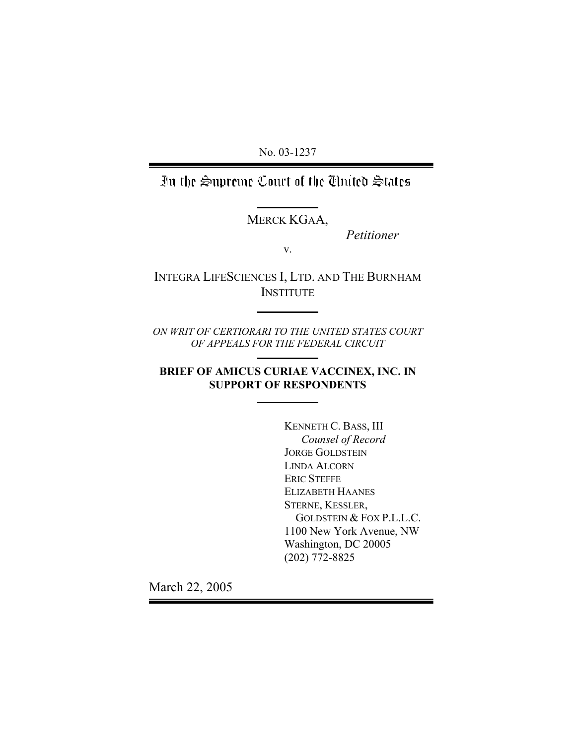No. 03-1237

In the Supreme Court of the Thuted States

MERCK KGAA,

*Petitioner* 

v.

INTEGRA LIFESCIENCES I, LTD. AND THE BURNHAM **INSTITUTE** 

*ON WRIT OF CERTIORARI TO THE UNITED STATES COURT OF APPEALS FOR THE FEDERAL CIRCUIT* 

**BRIEF OF AMICUS CURIAE VACCINEX, INC. IN SUPPORT OF RESPONDENTS** 

> KENNETH C. BASS, III *Counsel of Record* JORGE GOLDSTEIN LINDA ALCORN ERIC STEFFE ELIZABETH HAANES STERNE, KESSLER, GOLDSTEIN & FOX P.L.L.C. 1100 New York Avenue, NW Washington, DC 20005 (202) 772-8825

March 22, 2005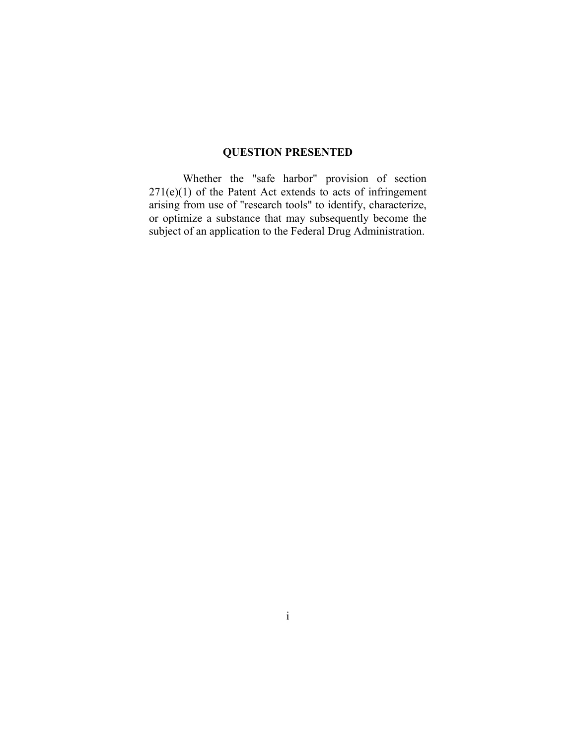## **QUESTION PRESENTED**

Whether the "safe harbor" provision of section  $271(e)(1)$  of the Patent Act extends to acts of infringement arising from use of "research tools" to identify, characterize, or optimize a substance that may subsequently become the subject of an application to the Federal Drug Administration.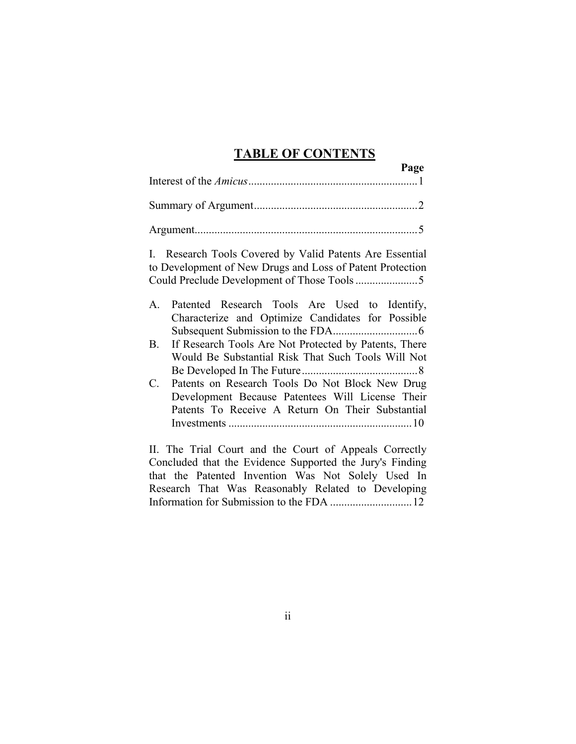## **TABLE OF CONTENTS**

| Page                                                                                                                                                                     |
|--------------------------------------------------------------------------------------------------------------------------------------------------------------------------|
|                                                                                                                                                                          |
|                                                                                                                                                                          |
| I. Research Tools Covered by Valid Patents Are Essential<br>to Development of New Drugs and Loss of Patent Protection                                                    |
| Patented Research Tools Are Used to Identify,<br>А.<br>Characterize and Optimize Candidates for Possible                                                                 |
| If Research Tools Are Not Protected by Patents, There<br>B.<br>Would Be Substantial Risk That Such Tools Will Not                                                        |
| C.<br>Patents on Research Tools Do Not Block New Drug<br>Development Because Patentees Will License Their<br>Patents To Receive A Return On Their Substantial            |
| II. The Trial Court and the Court of Appeals Correctly<br>Concluded that the Evidence Supported the Jury's Finding<br>that the Patented Invention Was Not Solely Used In |

Research That Was Reasonably Related to Developing Information for Submission to the FDA .............................12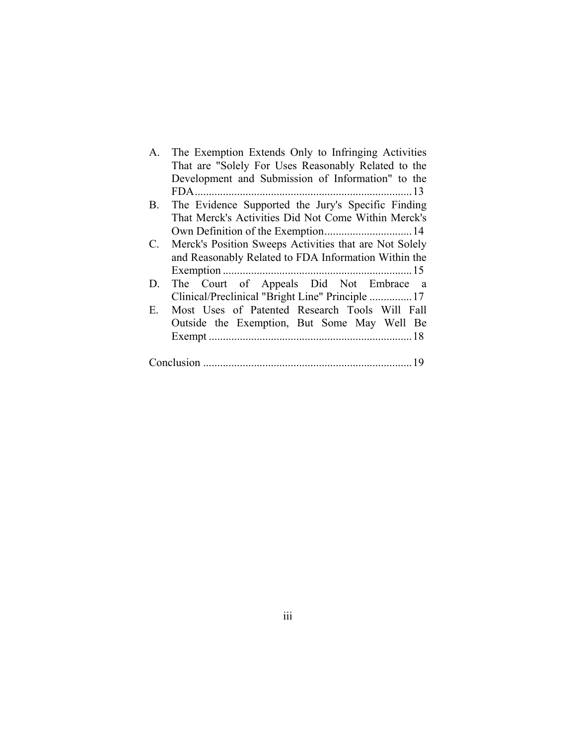| A.          | The Exemption Extends Only to Infringing Activities    |
|-------------|--------------------------------------------------------|
|             | That are "Solely For Uses Reasonably Related to the    |
|             | Development and Submission of Information" to the      |
|             |                                                        |
| В.          | The Evidence Supported the Jury's Specific Finding     |
|             | That Merck's Activities Did Not Come Within Merck's    |
|             |                                                        |
| $C_{\cdot}$ | Merck's Position Sweeps Activities that are Not Solely |
|             | and Reasonably Related to FDA Information Within the   |
|             |                                                        |
| D.          | The Court of Appeals Did Not Embrace a                 |
|             |                                                        |
| Ε.          | Most Uses of Patented Research Tools Will Fall         |
|             | Outside the Exemption, But Some May Well Be            |
|             |                                                        |
|             |                                                        |
|             |                                                        |
|             |                                                        |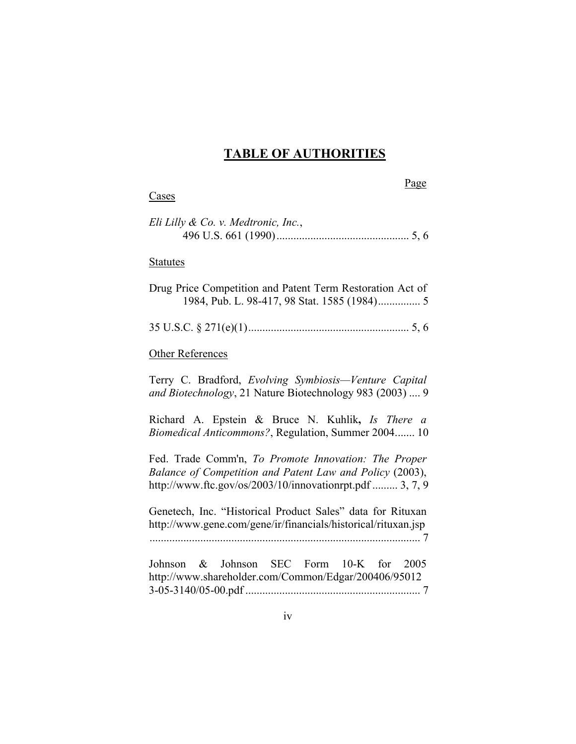# **TABLE OF AUTHORITIES**

| Page<br>Cases                                                                                                                                                                |
|------------------------------------------------------------------------------------------------------------------------------------------------------------------------------|
| Eli Lilly & Co. v. Medtronic, Inc.,                                                                                                                                          |
| <b>Statutes</b>                                                                                                                                                              |
| Drug Price Competition and Patent Term Restoration Act of<br>1984, Pub. L. 98-417, 98 Stat. 1585 (1984) 5                                                                    |
|                                                                                                                                                                              |
| Other References                                                                                                                                                             |
| Terry C. Bradford, Evolving Symbiosis-Venture Capital<br>and Biotechnology, 21 Nature Biotechnology 983 (2003)  9                                                            |
| Richard A. Epstein & Bruce N. Kuhlik, Is There a<br>Biomedical Anticommons?, Regulation, Summer 2004 10                                                                      |
| Fed. Trade Comm'n, To Promote Innovation: The Proper<br>Balance of Competition and Patent Law and Policy (2003),<br>http://www.ftc.gov/os/2003/10/innovationrpt.pdf  3, 7, 9 |
| Genetech, Inc. "Historical Product Sales" data for Rituxan<br>http://www.gene.com/gene/ir/financials/historical/rituxan.jsp                                                  |
| & Johnson SEC Form 10-K for 2005<br>Johnson<br>http://www.shareholder.com/Common/Edgar/200406/95012                                                                          |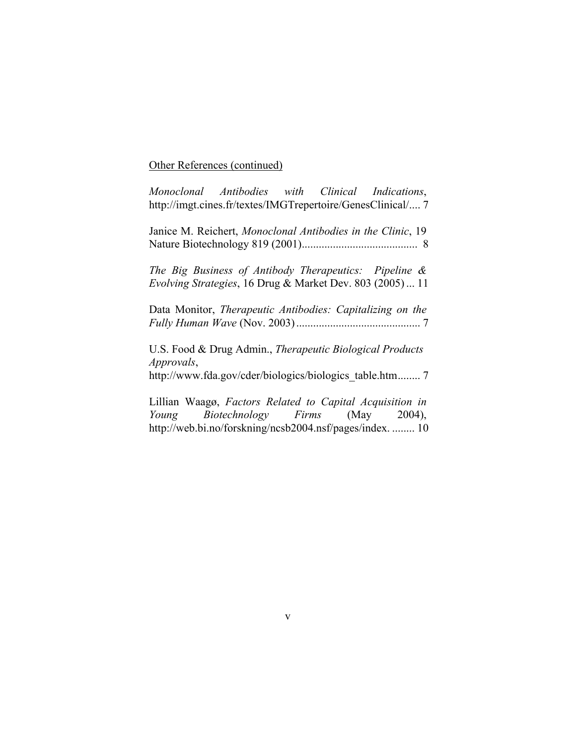#### Other References (continued)

*Monoclonal Antibodies with Clinical Indications*, http://imgt.cines.fr/textes/IMGTrepertoire/GenesClinical/.... 7

Janice M. Reichert, *Monoclonal Antibodies in the Clinic*, 19 Nature Biotechnology 819 (2001)......................................... 8

*The Big Business of Antibody Therapeutics: Pipeline & Evolving Strategies*, 16 Drug & Market Dev. 803 (2005) ... 11

Data Monitor, *Therapeutic Antibodies: Capitalizing on the Fully Human Wave* (Nov. 2003) ............................................ 7

U.S. Food & Drug Admin., *Therapeutic Biological Products Approvals*,

http://www.fda.gov/cder/biologics/biologics\_table.htm........ 7

Lillian Waagø, *Factors Related to Capital Acquisition in Young Biotechnology Firms* (May 2004), http://web.bi.no/forskning/ncsb2004.nsf/pages/index. ........ 10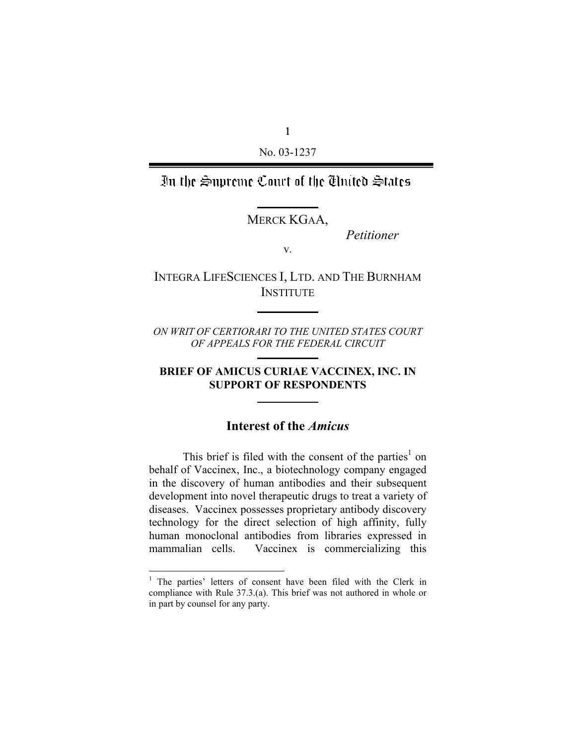1 No. 03-1237

In the Supreme Court of the Thuted States

MERCK KGAA,

*Petitioner* 

v.

INTEGRA LIFESCIENCES I, LTD. AND THE BURNHAM **INSTITUTE** 

*ON WRIT OF CERTIORARI TO THE UNITED STATES COURT OF APPEALS FOR THE FEDERAL CIRCUIT* 

## **BRIEF OF AMICUS CURIAE VACCINEX, INC. IN SUPPORT OF RESPONDENTS**

## **Interest of the** *Amicus*

This brief is filed with the consent of the parties<sup>1</sup> on behalf of Vaccinex, Inc., a biotechnology company engaged in the discovery of human antibodies and their subsequent development into novel therapeutic drugs to treat a variety of diseases. Vaccinex possesses proprietary antibody discovery technology for the direct selection of high affinity, fully human monoclonal antibodies from libraries expressed in mammalian cells. Vaccinex is commercializing this

<sup>&</sup>lt;sup>1</sup> The parties' letters of consent have been filed with the Clerk in compliance with Rule 37.3.(a). This brief was not authored in whole or in part by counsel for any party.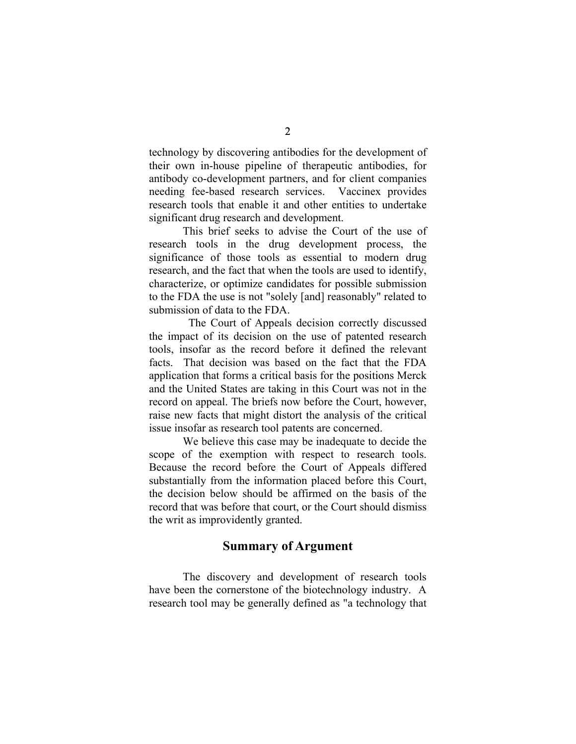technology by discovering antibodies for the development of their own in-house pipeline of therapeutic antibodies, for antibody co-development partners, and for client companies needing fee-based research services. Vaccinex provides research tools that enable it and other entities to undertake significant drug research and development.

This brief seeks to advise the Court of the use of research tools in the drug development process, the significance of those tools as essential to modern drug research, and the fact that when the tools are used to identify, characterize, or optimize candidates for possible submission to the FDA the use is not "solely [and] reasonably" related to submission of data to the FDA.

 The Court of Appeals decision correctly discussed the impact of its decision on the use of patented research tools, insofar as the record before it defined the relevant facts. That decision was based on the fact that the FDA application that forms a critical basis for the positions Merck and the United States are taking in this Court was not in the record on appeal. The briefs now before the Court, however, raise new facts that might distort the analysis of the critical issue insofar as research tool patents are concerned.

We believe this case may be inadequate to decide the scope of the exemption with respect to research tools. Because the record before the Court of Appeals differed substantially from the information placed before this Court, the decision below should be affirmed on the basis of the record that was before that court, or the Court should dismiss the writ as improvidently granted.

### **Summary of Argument**

The discovery and development of research tools have been the cornerstone of the biotechnology industry. A research tool may be generally defined as "a technology that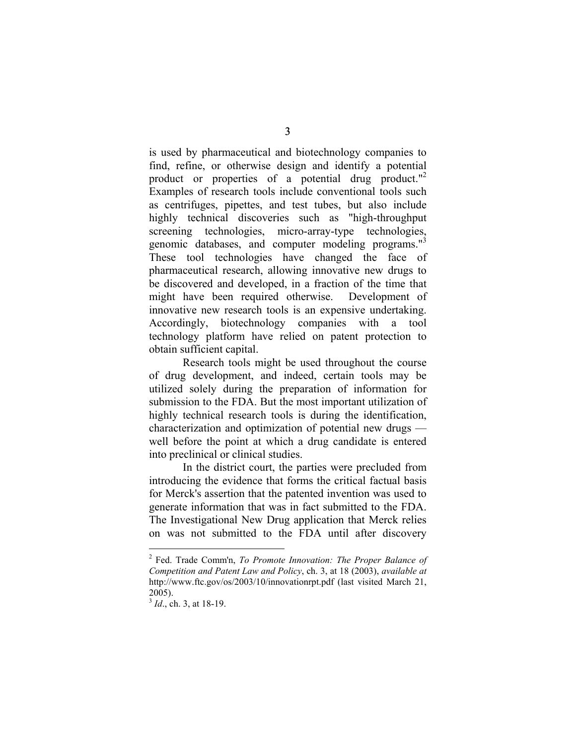is used by pharmaceutical and biotechnology companies to find, refine, or otherwise design and identify a potential product or properties of a potential drug product."<sup>2</sup> Examples of research tools include conventional tools such as centrifuges, pipettes, and test tubes, but also include highly technical discoveries such as "high-throughput screening technologies, micro-array-type technologies, genomic databases, and computer modeling programs."3 These tool technologies have changed the face of pharmaceutical research, allowing innovative new drugs to be discovered and developed, in a fraction of the time that might have been required otherwise. Development of innovative new research tools is an expensive undertaking. Accordingly, biotechnology companies with a tool technology platform have relied on patent protection to obtain sufficient capital.

Research tools might be used throughout the course of drug development, and indeed, certain tools may be utilized solely during the preparation of information for submission to the FDA. But the most important utilization of highly technical research tools is during the identification, characterization and optimization of potential new drugs well before the point at which a drug candidate is entered into preclinical or clinical studies.

In the district court, the parties were precluded from introducing the evidence that forms the critical factual basis for Merck's assertion that the patented invention was used to generate information that was in fact submitted to the FDA. The Investigational New Drug application that Merck relies on was not submitted to the FDA until after discovery

<sup>2</sup> Fed. Trade Comm'n, *To Promote Innovation: The Proper Balance of Competition and Patent Law and Policy*, ch. 3, at 18 (2003), *available at* http://www.ftc.gov/os/2003/10/innovationrpt.pdf (last visited March 21, 2005).

<sup>&</sup>lt;sup>3</sup> *Id.*, ch. 3, at 18-19.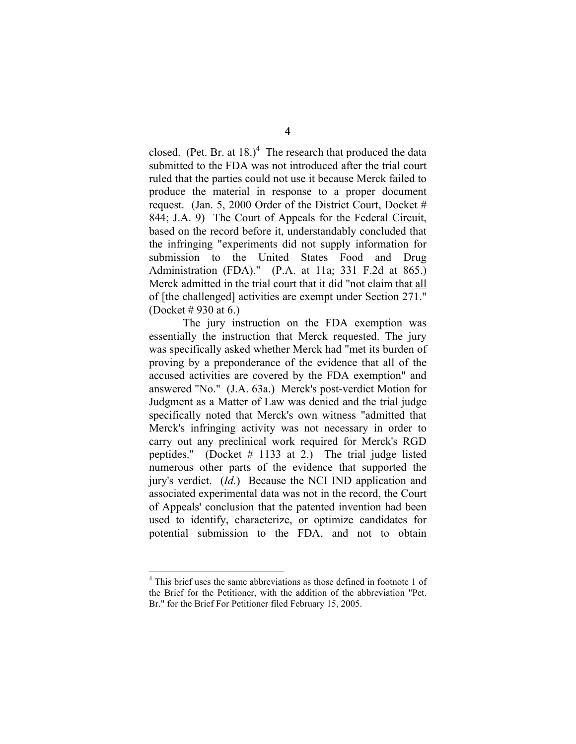closed. (Pet. Br. at  $18.$ )<sup>4</sup> The research that produced the data submitted to the FDA was not introduced after the trial court ruled that the parties could not use it because Merck failed to produce the material in response to a proper document request. (Jan. 5, 2000 Order of the District Court, Docket # 844; J.A. 9) The Court of Appeals for the Federal Circuit, based on the record before it, understandably concluded that the infringing "experiments did not supply information for submission to the United States Food and Drug Administration (FDA)." (P.A. at 11a; 331 F.2d at 865.) Merck admitted in the trial court that it did "not claim that all of [the challenged] activities are exempt under Section 271." (Docket # 930 at 6.)

The jury instruction on the FDA exemption was essentially the instruction that Merck requested. The jury was specifically asked whether Merck had "met its burden of proving by a preponderance of the evidence that all of the accused activities are covered by the FDA exemption" and answered "No." (J.A. 63a.) Merck's post-verdict Motion for Judgment as a Matter of Law was denied and the trial judge specifically noted that Merck's own witness "admitted that Merck's infringing activity was not necessary in order to carry out any preclinical work required for Merck's RGD peptides." (Docket # 1133 at 2.) The trial judge listed numerous other parts of the evidence that supported the jury's verdict. (*Id.*) Because the NCI IND application and associated experimental data was not in the record, the Court of Appeals' conclusion that the patented invention had been used to identify, characterize, or optimize candidates for potential submission to the FDA, and not to obtain

<sup>&</sup>lt;sup>4</sup> This brief uses the same abbreviations as those defined in footnote 1 of the Brief for the Petitioner, with the addition of the abbreviation "Pet. Br." for the Brief For Petitioner filed February 15, 2005.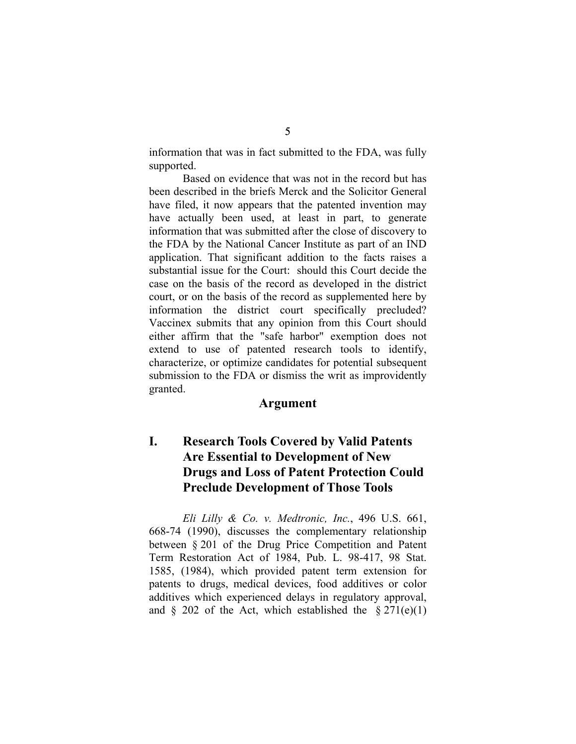information that was in fact submitted to the FDA, was fully supported.

Based on evidence that was not in the record but has been described in the briefs Merck and the Solicitor General have filed, it now appears that the patented invention may have actually been used, at least in part, to generate information that was submitted after the close of discovery to the FDA by the National Cancer Institute as part of an IND application. That significant addition to the facts raises a substantial issue for the Court: should this Court decide the case on the basis of the record as developed in the district court, or on the basis of the record as supplemented here by information the district court specifically precluded? Vaccinex submits that any opinion from this Court should either affirm that the "safe harbor" exemption does not extend to use of patented research tools to identify, characterize, or optimize candidates for potential subsequent submission to the FDA or dismiss the writ as improvidently granted.

## **Argument**

## **I. Research Tools Covered by Valid Patents Are Essential to Development of New Drugs and Loss of Patent Protection Could Preclude Development of Those Tools**

*Eli Lilly & Co. v. Medtronic, Inc.*, 496 U.S. 661, 668-74 (1990), discusses the complementary relationship between § 201 of the Drug Price Competition and Patent Term Restoration Act of 1984, Pub. L. 98-417, 98 Stat. 1585, (1984), which provided patent term extension for patents to drugs, medical devices, food additives or color additives which experienced delays in regulatory approval, and  $\&$  202 of the Act, which established the  $\&$  271(e)(1)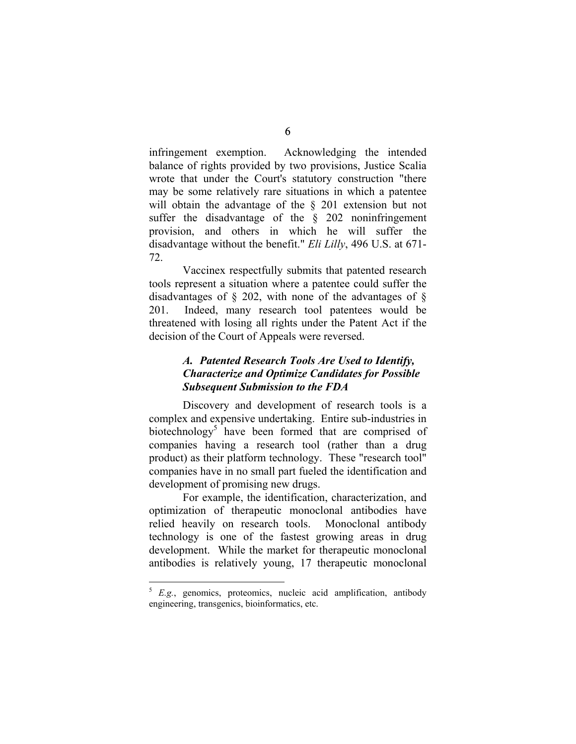infringement exemption. Acknowledging the intended balance of rights provided by two provisions, Justice Scalia wrote that under the Court's statutory construction "there may be some relatively rare situations in which a patentee will obtain the advantage of the § 201 extension but not suffer the disadvantage of the § 202 noninfringement provision, and others in which he will suffer the disadvantage without the benefit." *Eli Lilly*, 496 U.S. at 671- 72.

Vaccinex respectfully submits that patented research tools represent a situation where a patentee could suffer the disadvantages of  $\S$  202, with none of the advantages of  $\S$ 201. Indeed, many research tool patentees would be threatened with losing all rights under the Patent Act if the decision of the Court of Appeals were reversed.

## *A. Patented Research Tools Are Used to Identify, Characterize and Optimize Candidates for Possible Subsequent Submission to the FDA*

Discovery and development of research tools is a complex and expensive undertaking. Entire sub-industries in biotechnology<sup>5</sup> have been formed that are comprised of companies having a research tool (rather than a drug product) as their platform technology. These "research tool" companies have in no small part fueled the identification and development of promising new drugs.

For example, the identification, characterization, and optimization of therapeutic monoclonal antibodies have relied heavily on research tools. Monoclonal antibody technology is one of the fastest growing areas in drug development. While the market for therapeutic monoclonal antibodies is relatively young, 17 therapeutic monoclonal

<sup>5</sup> *E.g.*, genomics, proteomics, nucleic acid amplification, antibody engineering, transgenics, bioinformatics, etc.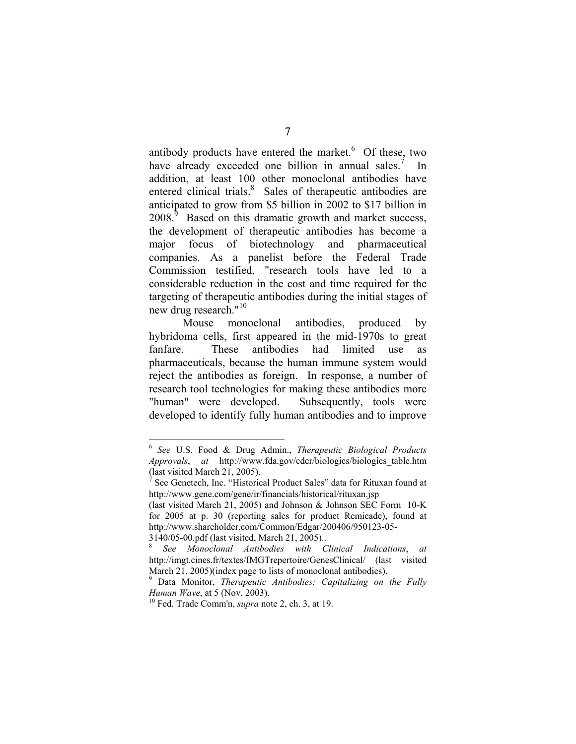antibody products have entered the market. $6$  Of these, two have already exceeded one billion in annual sales.<sup>7</sup> In addition, at least 100 other monoclonal antibodies have entered clinical trials.<sup>8</sup> Sales of therapeutic antibodies are anticipated to grow from \$5 billion in 2002 to \$17 billion in  $2008$ <sup>9</sup> Based on this dramatic growth and market success, the development of therapeutic antibodies has become a major focus of biotechnology and pharmaceutical companies. As a panelist before the Federal Trade Commission testified, "research tools have led to a considerable reduction in the cost and time required for the targeting of therapeutic antibodies during the initial stages of new drug research."<sup>10</sup>

Mouse monoclonal antibodies, produced by hybridoma cells, first appeared in the mid-1970s to great fanfare. These antibodies had limited use pharmaceuticals, because the human immune system would reject the antibodies as foreign. In response, a number of research tool technologies for making these antibodies more "human" were developed. Subsequently, tools were developed to identify fully human antibodies and to improve

<sup>6</sup> *See* U.S. Food & Drug Admin., *Therapeutic Biological Products Approvals*, *at* http://www.fda.gov/cder/biologics/biologics\_table.htm (last visited March 21, 2005).

 $\hat{\sigma}$  See Genetech, Inc. "Historical Product Sales" data for Rituxan found at http://www.gene.com/gene/ir/financials/historical/rituxan.jsp

<sup>(</sup>last visited March 21, 2005) and Johnson & Johnson SEC Form 10-K for 2005 at p. 30 (reporting sales for product Remicade), found at http://www.shareholder.com/Common/Edgar/200406/950123-05- 3140/05-00.pdf (last visited, March 21, 2005)..

<sup>8</sup> *See Monoclonal Antibodies with Clinical Indications*, *at* http://imgt.cines.fr/textes/IMGTrepertoire/GenesClinical/ (last visited March 21, 2005)(index page to lists of monoclonal antibodies).

<sup>9</sup> Data Monitor, *Therapeutic Antibodies: Capitalizing on the Fully Human Wave*, at 5 (Nov. 2003).<br><sup>10</sup> Fed. Trade Comm'n, *supra* note 2, ch. 3, at 19.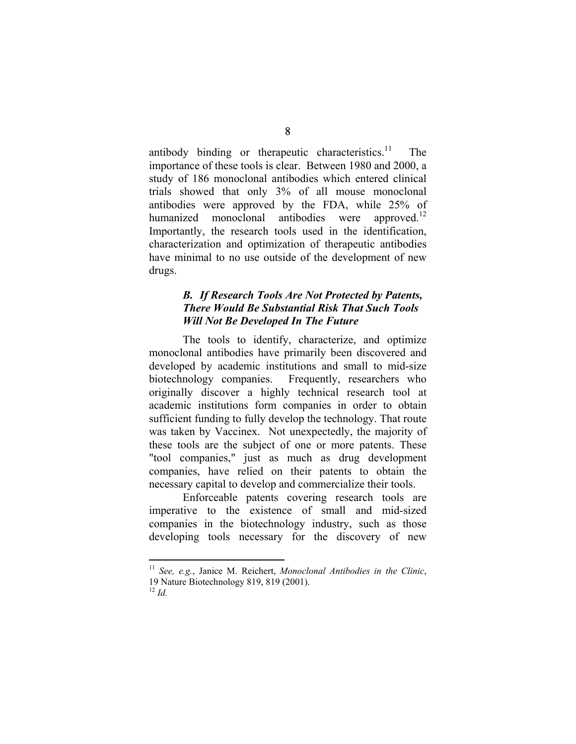antibody binding or therapeutic characteristics.<sup>11</sup> The importance of these tools is clear. Between 1980 and 2000, a study of 186 monoclonal antibodies which entered clinical trials showed that only 3% of all mouse monoclonal antibodies were approved by the FDA, while 25% of humanized monoclonal antibodies were approved.<sup>12</sup> Importantly, the research tools used in the identification, characterization and optimization of therapeutic antibodies have minimal to no use outside of the development of new drugs.

#### *B. If Research Tools Are Not Protected by Patents, There Would Be Substantial Risk That Such Tools Will Not Be Developed In The Future*

The tools to identify, characterize, and optimize monoclonal antibodies have primarily been discovered and developed by academic institutions and small to mid-size biotechnology companies. Frequently, researchers who originally discover a highly technical research tool at academic institutions form companies in order to obtain sufficient funding to fully develop the technology. That route was taken by Vaccinex. Not unexpectedly, the majority of these tools are the subject of one or more patents. These "tool companies," just as much as drug development companies, have relied on their patents to obtain the necessary capital to develop and commercialize their tools.

Enforceable patents covering research tools are imperative to the existence of small and mid-sized companies in the biotechnology industry, such as those developing tools necessary for the discovery of new

<sup>11</sup> *See, e.g.*, Janice M. Reichert, *Monoclonal Antibodies in the Clinic*, 19 Nature Biotechnology 819, 819 (2001).

 $^{12}$  *Id.*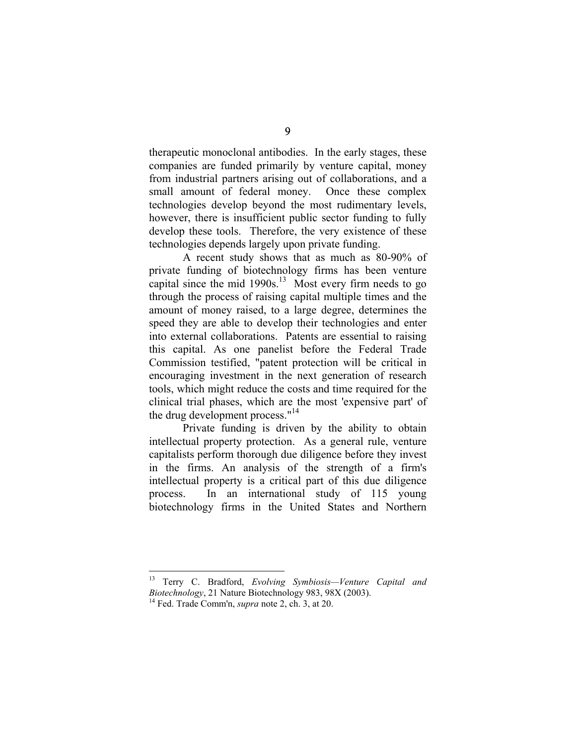therapeutic monoclonal antibodies. In the early stages, these companies are funded primarily by venture capital, money from industrial partners arising out of collaborations, and a small amount of federal money. Once these complex technologies develop beyond the most rudimentary levels, however, there is insufficient public sector funding to fully develop these tools. Therefore, the very existence of these technologies depends largely upon private funding.

A recent study shows that as much as 80-90% of private funding of biotechnology firms has been venture capital since the mid  $1990s$ <sup>13</sup> Most every firm needs to go through the process of raising capital multiple times and the amount of money raised, to a large degree, determines the speed they are able to develop their technologies and enter into external collaborations. Patents are essential to raising this capital. As one panelist before the Federal Trade Commission testified, "patent protection will be critical in encouraging investment in the next generation of research tools, which might reduce the costs and time required for the clinical trial phases, which are the most 'expensive part' of the drug development process."<sup>14</sup>

Private funding is driven by the ability to obtain intellectual property protection. As a general rule, venture capitalists perform thorough due diligence before they invest in the firms. An analysis of the strength of a firm's intellectual property is a critical part of this due diligence process. In an international study of 115 young biotechnology firms in the United States and Northern

<sup>13</sup> Terry C. Bradford, *Evolving Symbiosis—Venture Capital and Biotechnology*, 21 Nature Biotechnology 983, 98X (2003). 14 Fed. Trade Comm'n, *supra* note 2, ch. 3, at 20.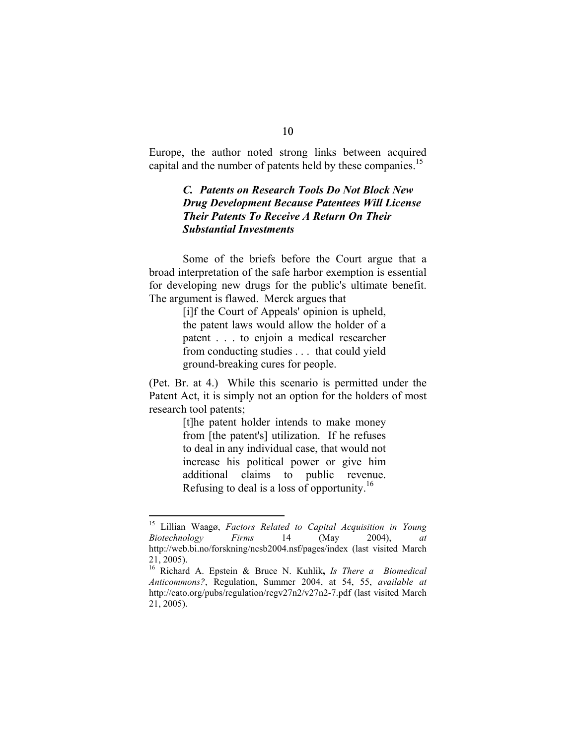Europe, the author noted strong links between acquired capital and the number of patents held by these companies.<sup>15</sup>

#### *C. Patents on Research Tools Do Not Block New Drug Development Because Patentees Will License Their Patents To Receive A Return On Their Substantial Investments*

Some of the briefs before the Court argue that a broad interpretation of the safe harbor exemption is essential for developing new drugs for the public's ultimate benefit. The argument is flawed. Merck argues that

> [i]f the Court of Appeals' opinion is upheld, the patent laws would allow the holder of a patent . . . to enjoin a medical researcher from conducting studies . . . that could yield ground-breaking cures for people.

(Pet. Br. at 4.) While this scenario is permitted under the Patent Act, it is simply not an option for the holders of most research tool patents;

> [t]he patent holder intends to make money from [the patent's] utilization. If he refuses to deal in any individual case, that would not increase his political power or give him additional claims to public revenue. Refusing to deal is a loss of opportunity.16

<sup>15</sup> Lillian Waagø, *Factors Related to Capital Acquisition in Young Biotechnology Firms* 14 (May 2004), *at* http://web.bi.no/forskning/ncsb2004.nsf/pages/index (last visited March 21, 2005).

<sup>16</sup> Richard A. Epstein & Bruce N. Kuhlik**,** *Is There a Biomedical Anticommons?*, Regulation, Summer 2004, at 54, 55, *available at* http://cato.org/pubs/regulation/regv27n2/v27n2-7.pdf (last visited March 21, 2005).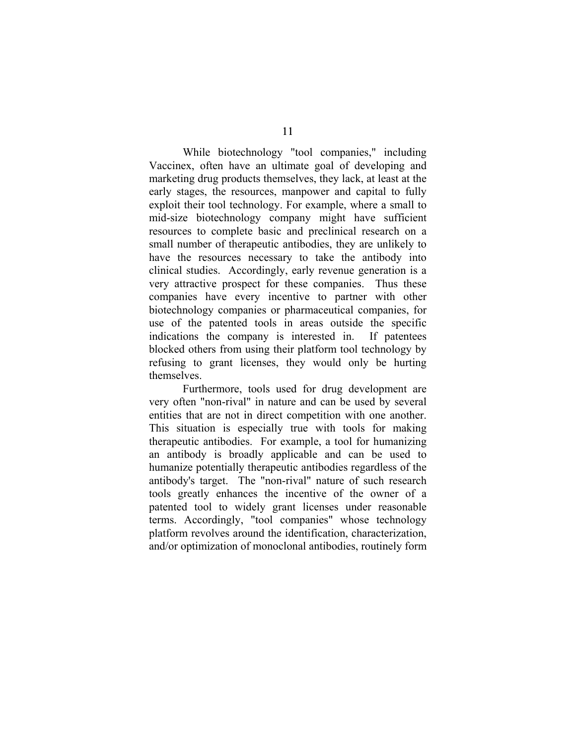While biotechnology "tool companies," including Vaccinex, often have an ultimate goal of developing and marketing drug products themselves, they lack, at least at the early stages, the resources, manpower and capital to fully exploit their tool technology. For example, where a small to mid-size biotechnology company might have sufficient resources to complete basic and preclinical research on a small number of therapeutic antibodies, they are unlikely to have the resources necessary to take the antibody into clinical studies. Accordingly, early revenue generation is a very attractive prospect for these companies. Thus these companies have every incentive to partner with other biotechnology companies or pharmaceutical companies, for use of the patented tools in areas outside the specific indications the company is interested in. If patentees blocked others from using their platform tool technology by refusing to grant licenses, they would only be hurting themselves.

Furthermore, tools used for drug development are very often "non-rival" in nature and can be used by several entities that are not in direct competition with one another. This situation is especially true with tools for making therapeutic antibodies. For example, a tool for humanizing an antibody is broadly applicable and can be used to humanize potentially therapeutic antibodies regardless of the antibody's target. The "non-rival" nature of such research tools greatly enhances the incentive of the owner of a patented tool to widely grant licenses under reasonable terms. Accordingly, "tool companies" whose technology platform revolves around the identification, characterization, and/or optimization of monoclonal antibodies, routinely form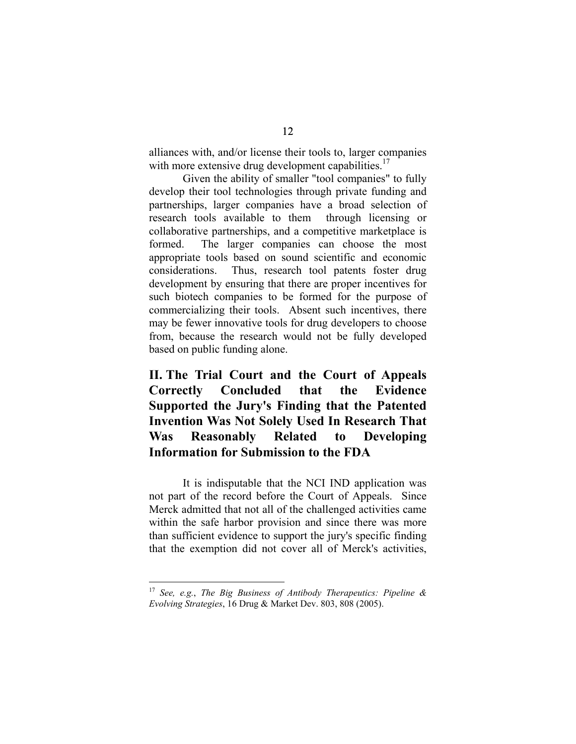alliances with, and/or license their tools to, larger companies with more extensive drug development capabilities.<sup>17</sup>

Given the ability of smaller "tool companies" to fully develop their tool technologies through private funding and partnerships, larger companies have a broad selection of research tools available to them through licensing or collaborative partnerships, and a competitive marketplace is formed. The larger companies can choose the most appropriate tools based on sound scientific and economic considerations. Thus, research tool patents foster drug development by ensuring that there are proper incentives for such biotech companies to be formed for the purpose of commercializing their tools. Absent such incentives, there may be fewer innovative tools for drug developers to choose from, because the research would not be fully developed based on public funding alone.

**II. The Trial Court and the Court of Appeals Correctly Concluded that the Evidence Supported the Jury's Finding that the Patented Invention Was Not Solely Used In Research That Was Reasonably Related to Developing Information for Submission to the FDA** 

It is indisputable that the NCI IND application was not part of the record before the Court of Appeals. Since Merck admitted that not all of the challenged activities came within the safe harbor provision and since there was more than sufficient evidence to support the jury's specific finding that the exemption did not cover all of Merck's activities,

<sup>17</sup> *See, e.g.*, *The Big Business of Antibody Therapeutics: Pipeline & Evolving Strategies*, 16 Drug & Market Dev. 803, 808 (2005).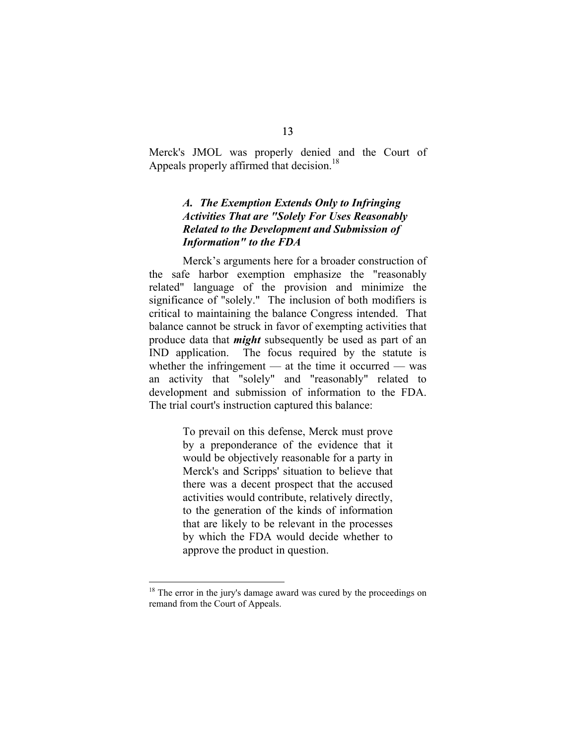Merck's JMOL was properly denied and the Court of Appeals properly affirmed that decision.<sup>18</sup>

## *A. The Exemption Extends Only to Infringing Activities That are "Solely For Uses Reasonably Related to the Development and Submission of Information" to the FDA*

Merck's arguments here for a broader construction of the safe harbor exemption emphasize the "reasonably related" language of the provision and minimize the significance of "solely." The inclusion of both modifiers is critical to maintaining the balance Congress intended. That balance cannot be struck in favor of exempting activities that produce data that *might* subsequently be used as part of an IND application. The focus required by the statute is whether the infringement — at the time it occurred — was an activity that "solely" and "reasonably" related to development and submission of information to the FDA. The trial court's instruction captured this balance:

> To prevail on this defense, Merck must prove by a preponderance of the evidence that it would be objectively reasonable for a party in Merck's and Scripps' situation to believe that there was a decent prospect that the accused activities would contribute, relatively directly, to the generation of the kinds of information that are likely to be relevant in the processes by which the FDA would decide whether to approve the product in question.

<sup>&</sup>lt;sup>18</sup> The error in the jury's damage award was cured by the proceedings on remand from the Court of Appeals.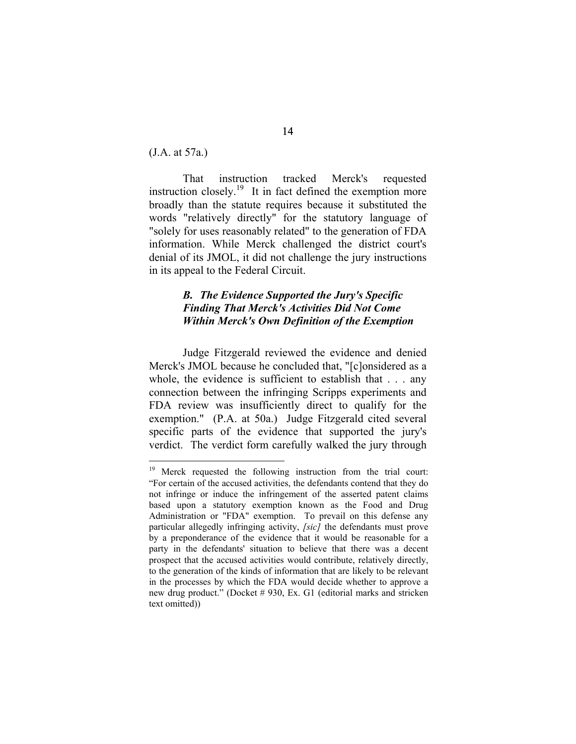(J.A. at 57a.)

 $\overline{a}$ 

That instruction tracked Merck's requested instruction closely.<sup>19</sup> It in fact defined the exemption more broadly than the statute requires because it substituted the words "relatively directly" for the statutory language of "solely for uses reasonably related" to the generation of FDA information. While Merck challenged the district court's denial of its JMOL, it did not challenge the jury instructions in its appeal to the Federal Circuit.

## *B. The Evidence Supported the Jury's Specific Finding That Merck's Activities Did Not Come Within Merck's Own Definition of the Exemption*

Judge Fitzgerald reviewed the evidence and denied Merck's JMOL because he concluded that, "[c]onsidered as a whole, the evidence is sufficient to establish that . . . any connection between the infringing Scripps experiments and FDA review was insufficiently direct to qualify for the exemption." (P.A. at 50a.) Judge Fitzgerald cited several specific parts of the evidence that supported the jury's verdict. The verdict form carefully walked the jury through

<sup>&</sup>lt;sup>19</sup> Merck requested the following instruction from the trial court: "For certain of the accused activities, the defendants contend that they do not infringe or induce the infringement of the asserted patent claims based upon a statutory exemption known as the Food and Drug Administration or "FDA" exemption. To prevail on this defense any particular allegedly infringing activity, *[sic]* the defendants must prove by a preponderance of the evidence that it would be reasonable for a party in the defendants' situation to believe that there was a decent prospect that the accused activities would contribute, relatively directly, to the generation of the kinds of information that are likely to be relevant in the processes by which the FDA would decide whether to approve a new drug product." (Docket # 930, Ex. G1 (editorial marks and stricken text omitted))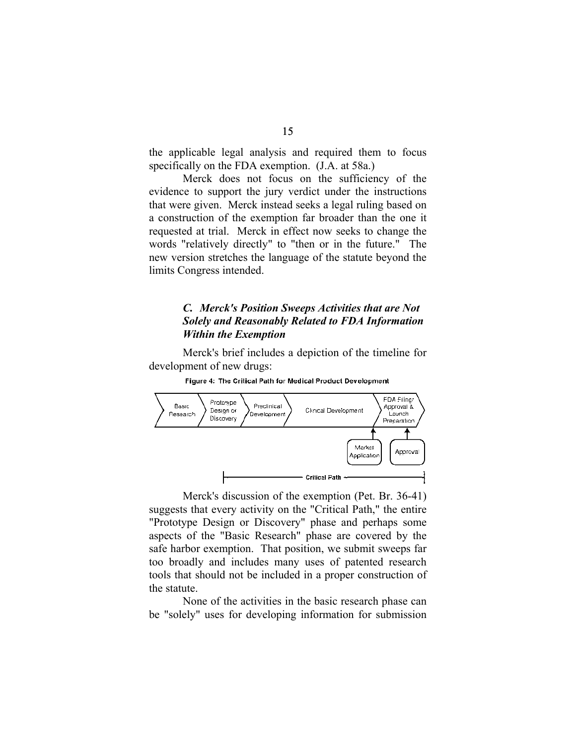the applicable legal analysis and required them to focus specifically on the FDA exemption. (J.A. at 58a.)

Merck does not focus on the sufficiency of the evidence to support the jury verdict under the instructions that were given. Merck instead seeks a legal ruling based on a construction of the exemption far broader than the one it requested at trial. Merck in effect now seeks to change the words "relatively directly" to "then or in the future." The new version stretches the language of the statute beyond the limits Congress intended.

#### *C. Merck's Position Sweeps Activities that are Not Solely and Reasonably Related to FDA Information Within the Exemption*

Merck's brief includes a depiction of the timeline for development of new drugs:



Figure 4: The Critical Path for Medical Product Development

Merck's discussion of the exemption (Pet. Br. 36-41) suggests that every activity on the "Critical Path," the entire "Prototype Design or Discovery" phase and perhaps some aspects of the "Basic Research" phase are covered by the safe harbor exemption. That position, we submit sweeps far too broadly and includes many uses of patented research tools that should not be included in a proper construction of the statute.

None of the activities in the basic research phase can be "solely" uses for developing information for submission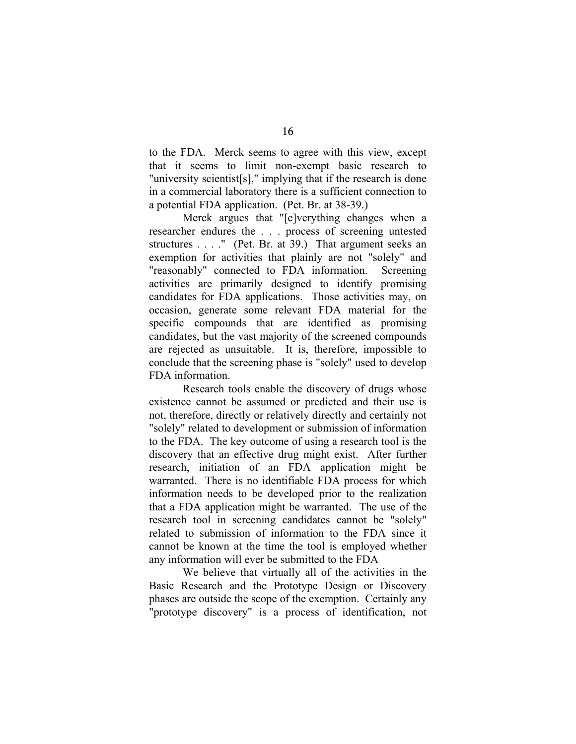to the FDA. Merck seems to agree with this view, except that it seems to limit non-exempt basic research to "university scientist[s]," implying that if the research is done in a commercial laboratory there is a sufficient connection to a potential FDA application. (Pet. Br. at 38-39.)

Merck argues that "[e]verything changes when a researcher endures the . . . process of screening untested structures . . . ." (Pet. Br. at 39.) That argument seeks an exemption for activities that plainly are not "solely" and "reasonably" connected to FDA information. Screening activities are primarily designed to identify promising candidates for FDA applications. Those activities may, on occasion, generate some relevant FDA material for the specific compounds that are identified as promising candidates, but the vast majority of the screened compounds are rejected as unsuitable. It is, therefore, impossible to conclude that the screening phase is "solely" used to develop FDA information.

Research tools enable the discovery of drugs whose existence cannot be assumed or predicted and their use is not, therefore, directly or relatively directly and certainly not "solely" related to development or submission of information to the FDA. The key outcome of using a research tool is the discovery that an effective drug might exist. After further research, initiation of an FDA application might be warranted. There is no identifiable FDA process for which information needs to be developed prior to the realization that a FDA application might be warranted. The use of the research tool in screening candidates cannot be "solely" related to submission of information to the FDA since it cannot be known at the time the tool is employed whether any information will ever be submitted to the FDA

We believe that virtually all of the activities in the Basic Research and the Prototype Design or Discovery phases are outside the scope of the exemption. Certainly any "prototype discovery" is a process of identification, not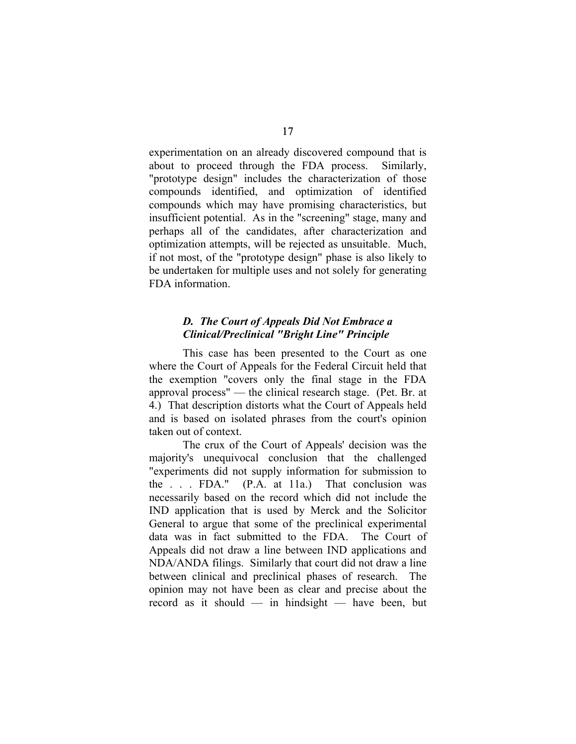experimentation on an already discovered compound that is about to proceed through the FDA process. Similarly, "prototype design" includes the characterization of those compounds identified, and optimization of identified compounds which may have promising characteristics, but insufficient potential. As in the "screening" stage, many and perhaps all of the candidates, after characterization and optimization attempts, will be rejected as unsuitable. Much, if not most, of the "prototype design" phase is also likely to be undertaken for multiple uses and not solely for generating FDA information.

### *D. The Court of Appeals Did Not Embrace a Clinical/Preclinical "Bright Line" Principle*

This case has been presented to the Court as one where the Court of Appeals for the Federal Circuit held that the exemption "covers only the final stage in the FDA approval process" — the clinical research stage. (Pet. Br. at 4.) That description distorts what the Court of Appeals held and is based on isolated phrases from the court's opinion taken out of context.

The crux of the Court of Appeals' decision was the majority's unequivocal conclusion that the challenged "experiments did not supply information for submission to the . . . FDA." (P.A. at 11a.) That conclusion was necessarily based on the record which did not include the IND application that is used by Merck and the Solicitor General to argue that some of the preclinical experimental data was in fact submitted to the FDA. The Court of Appeals did not draw a line between IND applications and NDA/ANDA filings. Similarly that court did not draw a line between clinical and preclinical phases of research. The opinion may not have been as clear and precise about the record as it should — in hindsight — have been, but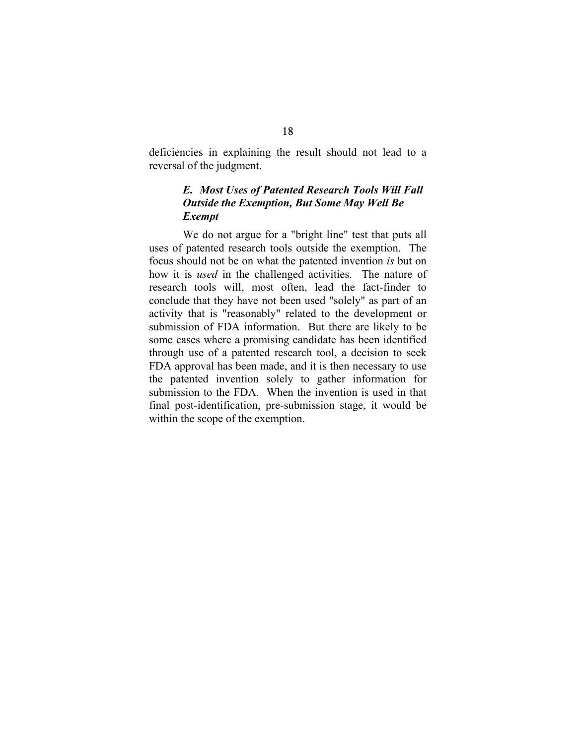deficiencies in explaining the result should not lead to a reversal of the judgment.

## *E. Most Uses of Patented Research Tools Will Fall Outside the Exemption, But Some May Well Be Exempt*

We do not argue for a "bright line" test that puts all uses of patented research tools outside the exemption. The focus should not be on what the patented invention *is* but on how it is *used* in the challenged activities. The nature of research tools will, most often, lead the fact-finder to conclude that they have not been used "solely" as part of an activity that is "reasonably" related to the development or submission of FDA information. But there are likely to be some cases where a promising candidate has been identified through use of a patented research tool, a decision to seek FDA approval has been made, and it is then necessary to use the patented invention solely to gather information for submission to the FDA. When the invention is used in that final post-identification, pre-submission stage, it would be within the scope of the exemption.